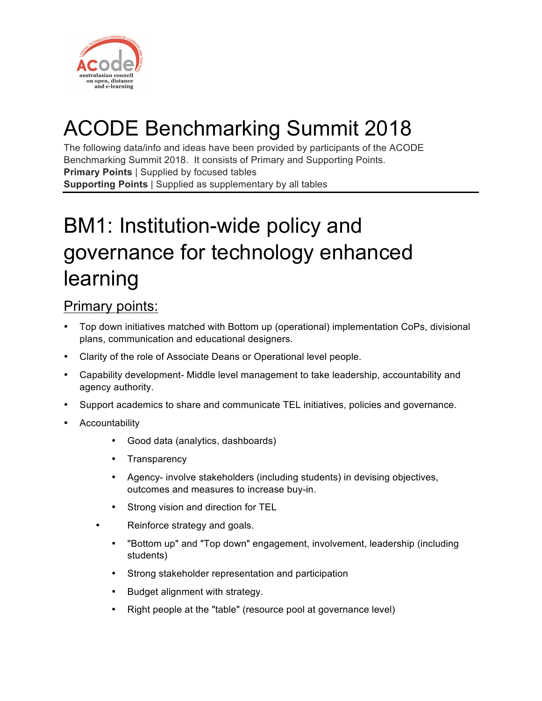

# ACODE Benchmarking Summit 2018

The following data/info and ideas have been provided by participants of the ACODE Benchmarking Summit 2018. It consists of Primary and Supporting Points. **Primary Points** | Supplied by focused tables **Supporting Points** | Supplied as supplementary by all tables

# BM1: Institution-wide policy and governance for technology enhanced learning

### Primary points:

- Top down initiatives matched with Bottom up (operational) implementation CoPs, divisional plans, communication and educational designers.
- Clarity of the role of Associate Deans or Operational level people.
- Capability development- Middle level management to take leadership, accountability and agency authority.
- Support academics to share and communicate TEL initiatives, policies and governance.
- **Accountability** 
	- Good data (analytics, dashboards)
	- Transparency
	- Agency- involve stakeholders (including students) in devising objectives, outcomes and measures to increase buy-in.
	- Strong vision and direction for TEL
	- Reinforce strategy and goals.
		- "Bottom up" and "Top down" engagement, involvement, leadership (including students)
		- Strong stakeholder representation and participation
		- Budget alignment with strategy.
		- Right people at the "table" (resource pool at governance level)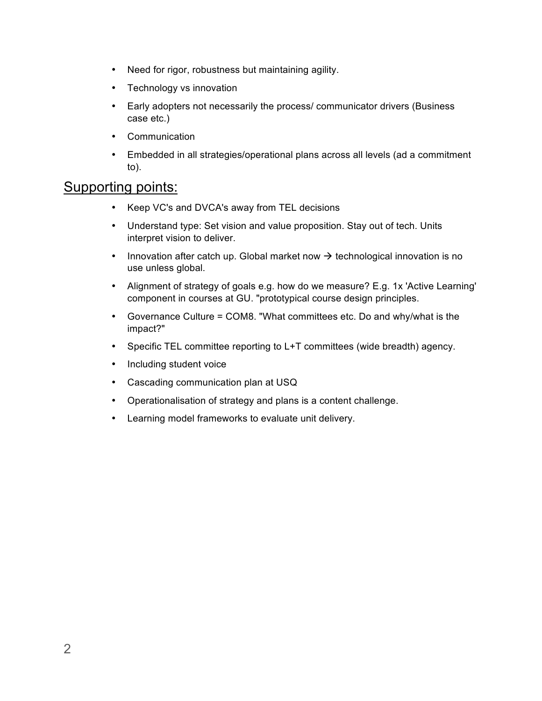- Need for rigor, robustness but maintaining agility.
- Technology vs innovation
- Early adopters not necessarily the process/ communicator drivers (Business case etc.)
- Communication
- Embedded in all strategies/operational plans across all levels (ad a commitment to).

- Keep VC's and DVCA's away from TEL decisions
- Understand type: Set vision and value proposition. Stay out of tech. Units interpret vision to deliver.
- Innovation after catch up. Global market now  $\rightarrow$  technological innovation is no use unless global.
- Alignment of strategy of goals e.g. how do we measure? E.g. 1x 'Active Learning' component in courses at GU. "prototypical course design principles.
- Governance Culture = COM8. "What committees etc. Do and why/what is the impact?"
- Specific TEL committee reporting to L+T committees (wide breadth) agency.
- Including student voice
- Cascading communication plan at USQ
- Operationalisation of strategy and plans is a content challenge.
- Learning model frameworks to evaluate unit delivery.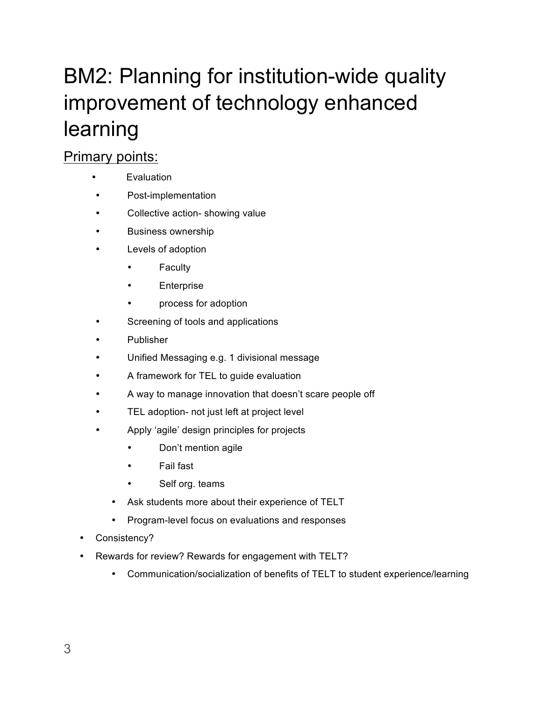# BM2: Planning for institution-wide quality improvement of technology enhanced learning

## Primary points:

- Evaluation
- Post-implementation
- Collective action- showing value
- Business ownership
- Levels of adoption
	- Faculty
	- **Enterprise**
	- process for adoption
- Screening of tools and applications
- Publisher
- Unified Messaging e.g. 1 divisional message
- A framework for TEL to guide evaluation
- A way to manage innovation that doesn't scare people off
- TEL adoption- not just left at project level
- Apply 'agile' design principles for projects
	- Don't mention agile
	- Fail fast
	- Self org. teams
	- Ask students more about their experience of TELT
	- Program-level focus on evaluations and responses
- Consistency?
- Rewards for review? Rewards for engagement with TELT?
	- Communication/socialization of benefits of TELT to student experience/learning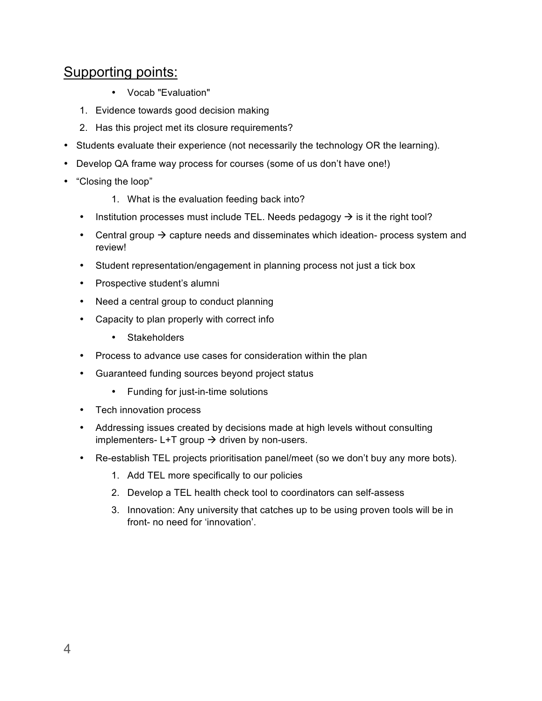- Vocab "Evaluation"
- 1. Evidence towards good decision making
- 2. Has this project met its closure requirements?
- Students evaluate their experience (not necessarily the technology OR the learning).
- Develop QA frame way process for courses (some of us don't have one!)
- "Closing the loop"
	- 1. What is the evaluation feeding back into?
	- Institution processes must include TEL. Needs pedagogy  $\rightarrow$  is it the right tool?
	- Central group  $\rightarrow$  capture needs and disseminates which ideation- process system and review!
	- Student representation/engagement in planning process not just a tick box
	- Prospective student's alumni
	- Need a central group to conduct planning
	- Capacity to plan properly with correct info
		- Stakeholders
	- Process to advance use cases for consideration within the plan
	- Guaranteed funding sources beyond project status
		- Funding for just-in-time solutions
	- Tech innovation process
	- Addressing issues created by decisions made at high levels without consulting implementers-  $L+T$  group  $\rightarrow$  driven by non-users.
	- Re-establish TEL projects prioritisation panel/meet (so we don't buy any more bots).
		- 1. Add TEL more specifically to our policies
		- 2. Develop a TEL health check tool to coordinators can self-assess
		- 3. Innovation: Any university that catches up to be using proven tools will be in front- no need for 'innovation'.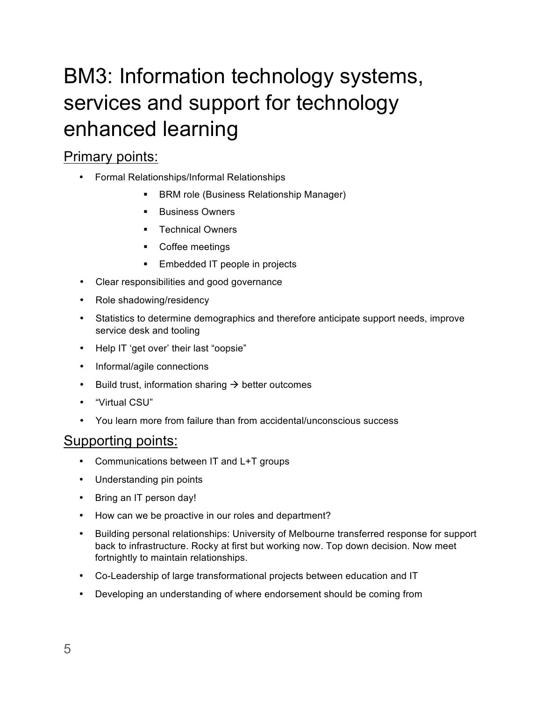# BM3: Information technology systems, services and support for technology enhanced learning

### Primary points:

- Formal Relationships/Informal Relationships
	- BRM role (Business Relationship Manager)
	- Business Owners
	- § Technical Owners
	- Coffee meetings
	- Embedded IT people in projects
- Clear responsibilities and good governance
- Role shadowing/residency
- Statistics to determine demographics and therefore anticipate support needs, improve service desk and tooling
- Help IT 'get over' their last "oopsie"
- Informal/agile connections
- Build trust, information sharing  $\rightarrow$  better outcomes
- "Virtual CSU"
- You learn more from failure than from accidental/unconscious success

- Communications between IT and L+T groups
- Understanding pin points
- Bring an IT person day!
- How can we be proactive in our roles and department?
- Building personal relationships: University of Melbourne transferred response for support back to infrastructure. Rocky at first but working now. Top down decision. Now meet fortnightly to maintain relationships.
- Co-Leadership of large transformational projects between education and IT
- Developing an understanding of where endorsement should be coming from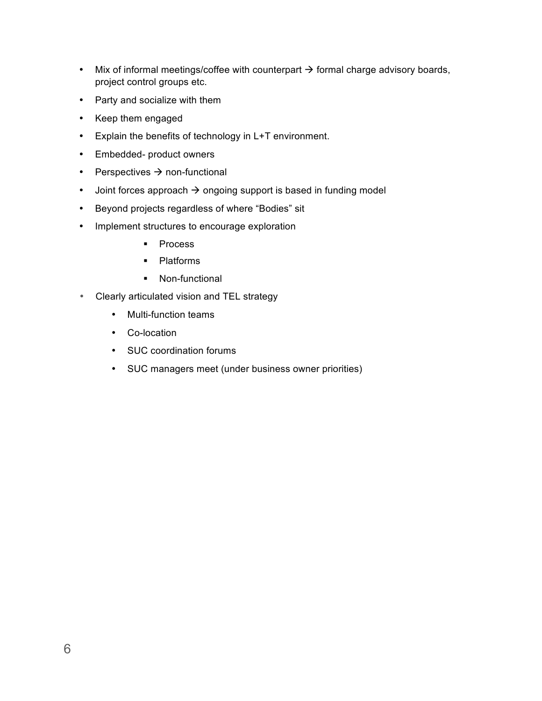- Mix of informal meetings/coffee with counterpart  $\rightarrow$  formal charge advisory boards, project control groups etc.
- Party and socialize with them
- Keep them engaged
- Explain the benefits of technology in L+T environment.
- Embedded- product owners
- Perspectives  $\rightarrow$  non-functional
- Joint forces approach  $\rightarrow$  ongoing support is based in funding model
- Beyond projects regardless of where "Bodies" sit
- Implement structures to encourage exploration
	- Process
	- § Platforms
	- Non-functional
- Clearly articulated vision and TEL strategy
	- Multi-function teams
	- Co-location
	- SUC coordination forums
	- SUC managers meet (under business owner priorities)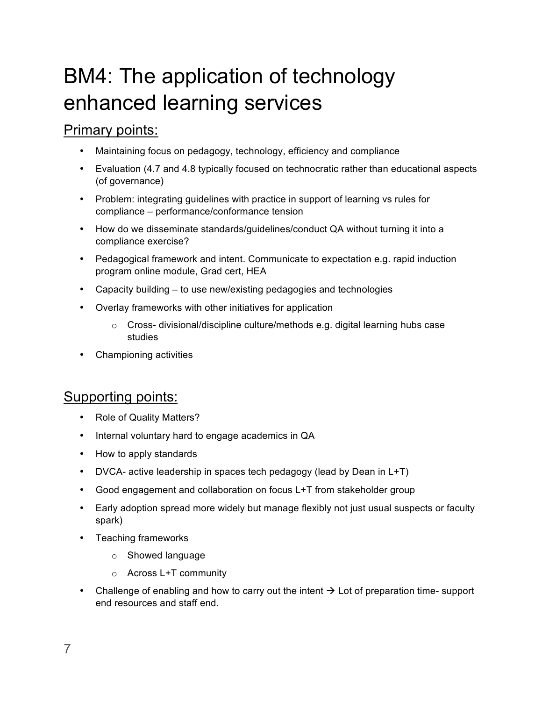# BM4: The application of technology enhanced learning services

#### Primary points:

- Maintaining focus on pedagogy, technology, efficiency and compliance
- Evaluation (4.7 and 4.8 typically focused on technocratic rather than educational aspects (of governance)
- Problem: integrating guidelines with practice in support of learning vs rules for compliance – performance/conformance tension
- How do we disseminate standards/guidelines/conduct QA without turning it into a compliance exercise?
- Pedagogical framework and intent. Communicate to expectation e.g. rapid induction program online module, Grad cert, HEA
- Capacity building to use new/existing pedagogies and technologies
- Overlay frameworks with other initiatives for application
	- $\circ$  Cross- divisional/discipline culture/methods e.g. digital learning hubs case studies
- Championing activities

- Role of Quality Matters?
- Internal voluntary hard to engage academics in QA
- How to apply standards
- DVCA- active leadership in spaces tech pedagogy (lead by Dean in L+T)
- Good engagement and collaboration on focus L+T from stakeholder group
- Early adoption spread more widely but manage flexibly not just usual suspects or faculty spark)
- Teaching frameworks
	- o Showed language
	- o Across L+T community
- Challenge of enabling and how to carry out the intent  $\rightarrow$  Lot of preparation time- support end resources and staff end.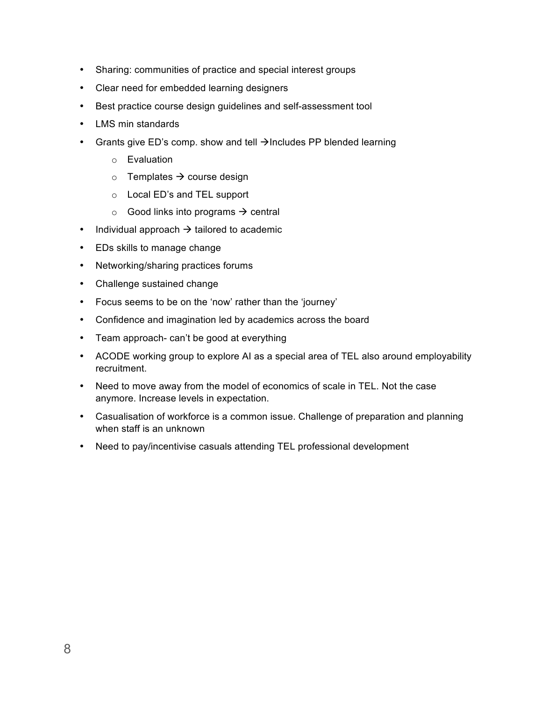- Sharing: communities of practice and special interest groups
- Clear need for embedded learning designers
- Best practice course design guidelines and self-assessment tool
- LMS min standards
- Grants give ED's comp. show and tell  $\rightarrow$ Includes PP blended learning
	- o Evaluation
	- $\circ$  Templates  $\rightarrow$  course design
	- o Local ED's and TEL support
	- $\circ$  Good links into programs  $\rightarrow$  central
- Individual approach  $\rightarrow$  tailored to academic
- EDs skills to manage change
- Networking/sharing practices forums
- Challenge sustained change
- Focus seems to be on the 'now' rather than the 'journey'
- Confidence and imagination led by academics across the board
- Team approach- can't be good at everything
- ACODE working group to explore AI as a special area of TEL also around employability recruitment.
- Need to move away from the model of economics of scale in TEL. Not the case anymore. Increase levels in expectation.
- Casualisation of workforce is a common issue. Challenge of preparation and planning when staff is an unknown
- Need to pay/incentivise casuals attending TEL professional development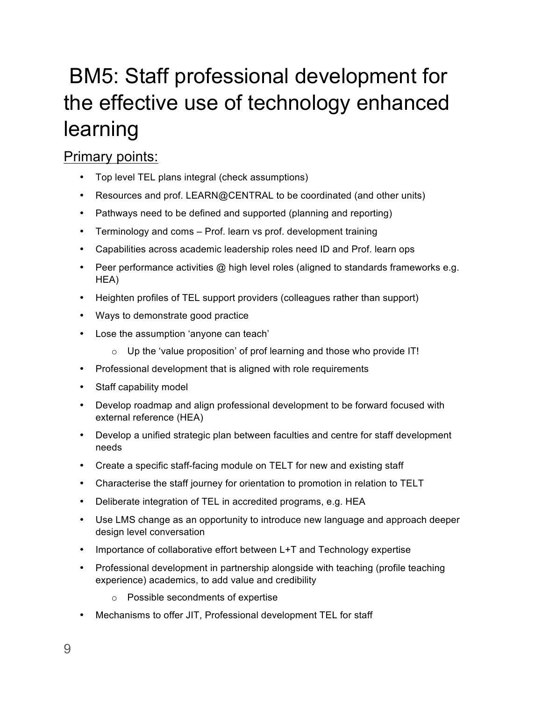# BM5: Staff professional development for the effective use of technology enhanced learning

### Primary points:

- Top level TEL plans integral (check assumptions)
- Resources and prof. LEARN@CENTRAL to be coordinated (and other units)
- Pathways need to be defined and supported (planning and reporting)
- Terminology and coms Prof. learn vs prof. development training
- Capabilities across academic leadership roles need ID and Prof. learn ops
- Peer performance activities @ high level roles (aligned to standards frameworks e.g. HEA)
- Heighten profiles of TEL support providers (colleagues rather than support)
- Ways to demonstrate good practice
- Lose the assumption 'anyone can teach'
	- o Up the 'value proposition' of prof learning and those who provide IT!
- Professional development that is aligned with role requirements
- Staff capability model
- Develop roadmap and align professional development to be forward focused with external reference (HEA)
- Develop a unified strategic plan between faculties and centre for staff development needs
- Create a specific staff-facing module on TELT for new and existing staff
- Characterise the staff journey for orientation to promotion in relation to TELT
- Deliberate integration of TEL in accredited programs, e.g. HEA
- Use LMS change as an opportunity to introduce new language and approach deeper design level conversation
- Importance of collaborative effort between L+T and Technology expertise
- Professional development in partnership alongside with teaching (profile teaching experience) academics, to add value and credibility
	- o Possible secondments of expertise
- Mechanisms to offer JIT, Professional development TEL for staff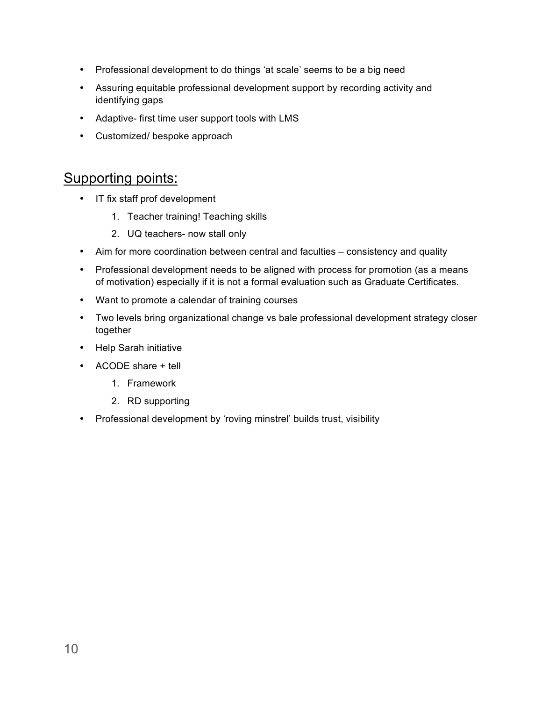- Professional development to do things 'at scale' seems to be a big need
- Assuring equitable professional development support by recording activity and identifying gaps
- Adaptive- first time user support tools with LMS
- Customized/ bespoke approach

- IT fix staff prof development
	- 1. Teacher training! Teaching skills
	- 2. UQ teachers- now stall only
- Aim for more coordination between central and faculties consistency and quality
- Professional development needs to be aligned with process for promotion (as a means of motivation) especially if it is not a formal evaluation such as Graduate Certificates.
- Want to promote a calendar of training courses
- Two levels bring organizational change vs bale professional development strategy closer together
- Help Sarah initiative
- ACODE share + tell
	- 1. Framework
	- 2. RD supporting
- Professional development by 'roving minstrel' builds trust, visibility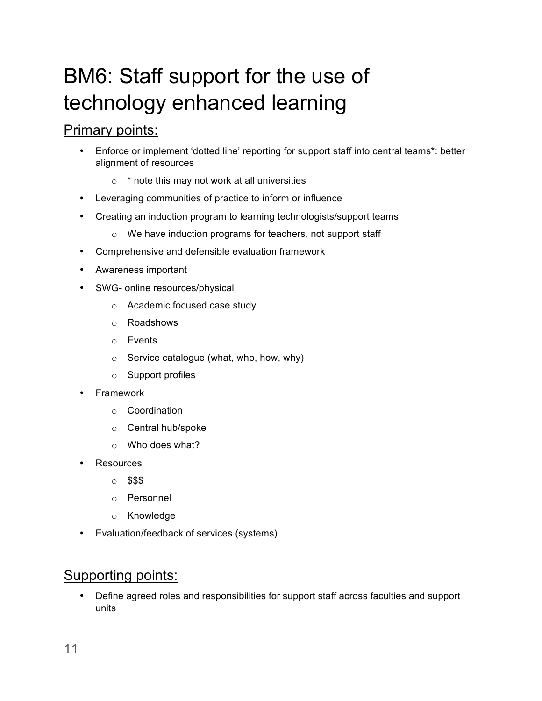# BM6: Staff support for the use of technology enhanced learning

#### Primary points:

- Enforce or implement 'dotted line' reporting for support staff into central teams\*: better alignment of resources
	- $\circ$  \* note this may not work at all universities
- Leveraging communities of practice to inform or influence
- Creating an induction program to learning technologists/support teams
	- o We have induction programs for teachers, not support staff
- Comprehensive and defensible evaluation framework
- Awareness important
- SWG- online resources/physical
	- o Academic focused case study
	- o Roadshows
	- o Events
	- $\circ$  Service catalogue (what, who, how, why)
	- o Support profiles
- Framework
	- o Coordination
	- o Central hub/spoke
	- o Who does what?
- Resources
	- o \$\$\$
	- o Personnel
	- o Knowledge
- Evaluation/feedback of services (systems)

#### Supporting points:

• Define agreed roles and responsibilities for support staff across faculties and support units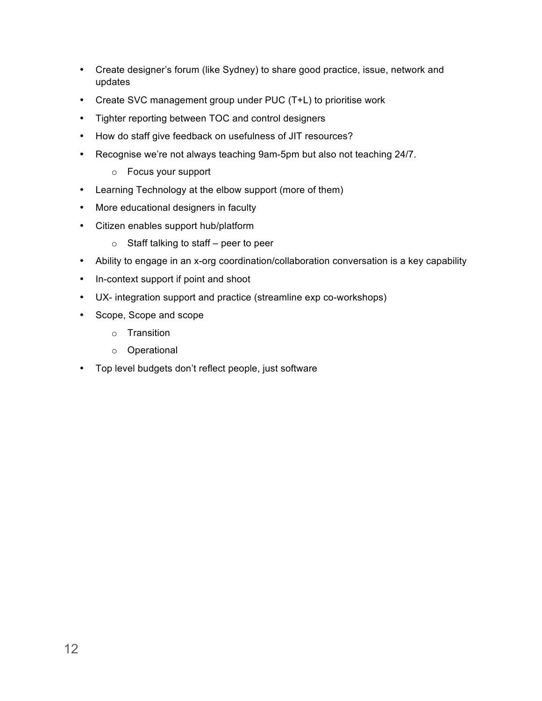- Create designer's forum (like Sydney) to share good practice, issue, network and updates
- Create SVC management group under PUC (T+L) to prioritise work
- Tighter reporting between TOC and control designers
- How do staff give feedback on usefulness of JIT resources?
- Recognise we're not always teaching 9am-5pm but also not teaching 24/7.
	- o Focus your support
- Learning Technology at the elbow support (more of them)
- More educational designers in faculty
- Citizen enables support hub/platform
	- $\circ$  Staff talking to staff peer to peer
- Ability to engage in an x-org coordination/collaboration conversation is a key capability
- In-context support if point and shoot
- UX- integration support and practice (streamline exp co-workshops)
- Scope, Scope and scope
	- o Transition
	- o Operational
- Top level budgets don't reflect people, just software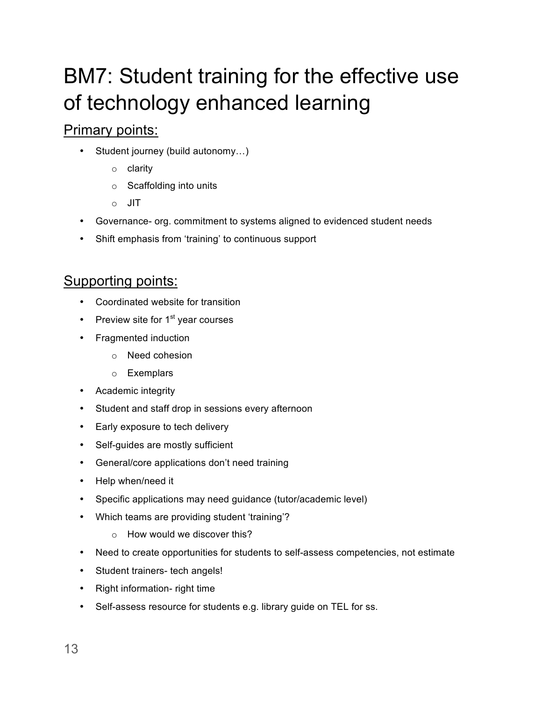# BM7: Student training for the effective use of technology enhanced learning

### Primary points:

- Student journey (build autonomy…)
	- o clarity
	- o Scaffolding into units
	- o JIT
- Governance- org. commitment to systems aligned to evidenced student needs
- Shift emphasis from 'training' to continuous support

- Coordinated website for transition
- Preview site for  $1<sup>st</sup>$  year courses
- Fragmented induction
	- o Need cohesion
	- o Exemplars
- Academic integrity
- Student and staff drop in sessions every afternoon
- Early exposure to tech delivery
- Self-guides are mostly sufficient
- General/core applications don't need training
- Help when/need it
- Specific applications may need guidance (tutor/academic level)
- Which teams are providing student 'training'?
	- o How would we discover this?
- Need to create opportunities for students to self-assess competencies, not estimate
- Student trainers- tech angels!
- Right information- right time
- Self-assess resource for students e.g. library guide on TEL for ss.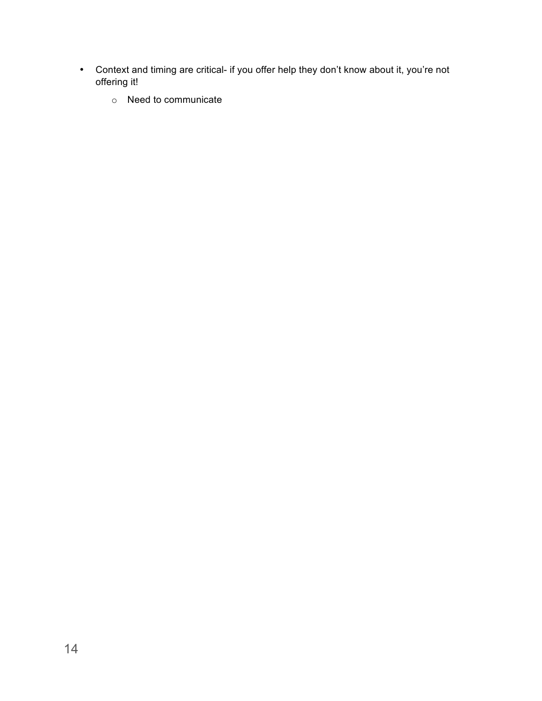- Context and timing are critical- if you offer help they don't know about it, you're not offering it!
	- o Need to communicate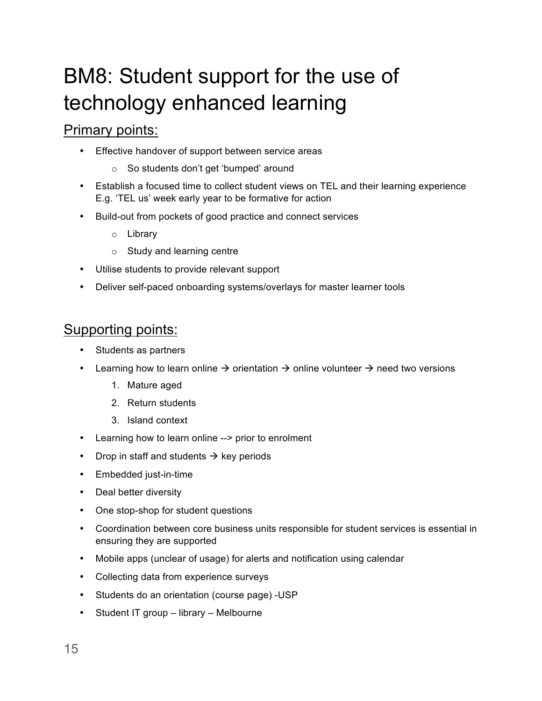# BM8: Student support for the use of technology enhanced learning

#### Primary points:

- Effective handover of support between service areas
	- o So students don't get 'bumped' around
- Establish a focused time to collect student views on TEL and their learning experience E.g. 'TEL us' week early year to be formative for action
- Build-out from pockets of good practice and connect services
	- o Library
	- o Study and learning centre
- Utilise students to provide relevant support
- Deliver self-paced onboarding systems/overlays for master learner tools

- Students as partners
- Learning how to learn online  $\rightarrow$  orientation  $\rightarrow$  online volunteer  $\rightarrow$  need two versions
	- 1. Mature aged
	- 2. Return students
	- 3. Island context
- Learning how to learn online --> prior to enrolment
- Drop in staff and students  $\rightarrow$  key periods
- Embedded just-in-time
- Deal better diversity
- One stop-shop for student questions
- Coordination between core business units responsible for student services is essential in ensuring they are supported
- Mobile apps (unclear of usage) for alerts and notification using calendar
- Collecting data from experience surveys
- Students do an orientation (course page) -USP
- Student IT group library Melbourne